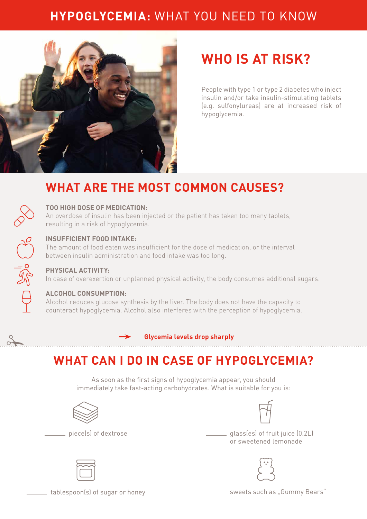### **HYPOGLYCEMIA:** WHAT YOU NEED TO KNOW



# **WHO IS AT RISK?**

People with type 1 or type 2 diabetes who inject insulin and/or take insulin-stimulating tablets (e.g. sulfonylureas) are at increased risk of hypoglycemia.

### **WHAT ARE THE MOST COMMON CAUSES?**



#### **TOO HIGH DOSE OF MEDICATION:**

An overdose of insulin has been injected or the patient has taken too many tablets, resulting in a risk of hypoglycemia.



 $\frac{3}{2}$ 

#### **INSUFFICIENT FOOD INTAKE:**

The amount of food eaten was insufficient for the dose of medication, or the interval between insulin administration and food intake was too long.

#### **PHYSICAL ACTIVITY:**

In case of overexertion or unplanned physical activity, the body consumes additional sugars.

#### **ALCOHOL CONSUMPTION:**

Alcohol reduces glucose synthesis by the liver. The body does not have the capacity to counteract hypoglycemia. Alcohol also interferes with the perception of hypoglycemia.

**Glycemia levels drop sharply**

## **WHAT CAN I DO IN CASE OF HYPOGLYCEMIA?**

As soon as the first signs of hypoglycemia appear, you should immediately take fast-acting carbohydrates. What is suitable for you is:







 piece(s) of dextrose glass(es) of fruit juice (0.2L) or sweetened lemonade





 $\hspace{0.1cm}$  tablespoon(s) of sugar or honey such as "Gummy Bears"